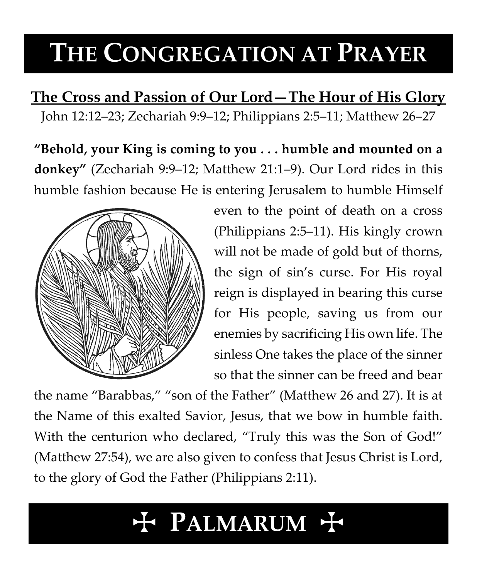# **THE CONGREGATION AT PRAYER**

**The Cross and Passion of Our Lord—The Hour of His Glory** John 12:12–23; Zechariah 9:9–12; Philippians 2:5–11; Matthew 26–27

**"Behold, your King is coming to you . . . humble and mounted on a donkey"** (Zechariah 9:9–12; Matthew 21:1–9). Our Lord rides in this humble fashion because He is entering Jerusalem to humble Himself



even to the point of death on a cross (Philippians 2:5–11). His kingly crown will not be made of gold but of thorns, the sign of sin's curse. For His royal reign is displayed in bearing this curse for His people, saving us from our enemies by sacrificing His own life. The sinless One takes the place of the sinner so that the sinner can be freed and bear

the name "Barabbas," "son of the Father" (Matthew 26 and 27). It is at the Name of this exalted Savior, Jesus, that we bow in humble faith. With the centurion who declared, "Truly this was the Son of God!" (Matthew 27:54), we are also given to confess that Jesus Christ is Lord, to the glory of God the Father (Philippians 2:11).

## T **PALMARUM** T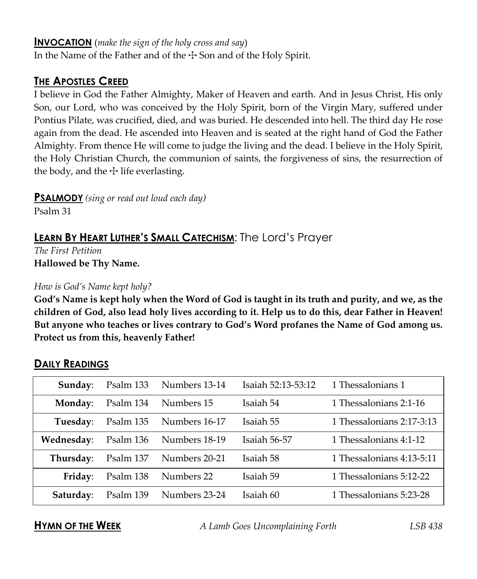#### **INVOCATION** (*make the sign of the holy cross and say*)

In the Name of the Father and of the  $\pm$  Son and of the Holy Spirit.

#### **THE APOSTLES CREED**

I believe in God the Father Almighty, Maker of Heaven and earth. And in Jesus Christ, His only Son, our Lord, who was conceived by the Holy Spirit, born of the Virgin Mary, suffered under Pontius Pilate, was crucified, died, and was buried. He descended into hell. The third day He rose again from the dead. He ascended into Heaven and is seated at the right hand of God the Father Almighty. From thence He will come to judge the living and the dead. I believe in the Holy Spirit, the Holy Christian Church, the communion of saints, the forgiveness of sins, the resurrection of the body, and the  $\pm$  life everlasting.

**PSALMODY** *(sing or read out loud each day)*

Psalm 31

### **LEARN BY HEART LUTHER'S SMALL CATECHISM**: The Lord's Prayer

*The First Petition* **Hallowed be Thy Name.**

#### *How is God's Name kept holy?*

**God's Name is kept holy when the Word of God is taught in its truth and purity, and we, as the children of God, also lead holy lives according to it. Help us to do this, dear Father in Heaven! But anyone who teaches or lives contrary to God's Word profanes the Name of God among us. Protect us from this, heavenly Father!**

| Sunday:    | Psalm 133 | Numbers 13-14 | Isaiah 52:13-53:12 | 1 Thessalonians 1         |
|------------|-----------|---------------|--------------------|---------------------------|
| Monday:    | Psalm 134 | Numbers 15    | Isaiah 54          | 1 Thessalonians 2:1-16    |
| Tuesday:   | Psalm 135 | Numbers 16-17 | Isaiah 55          | 1 Thessalonians 2:17-3:13 |
| Wednesday: | Psalm 136 | Numbers 18-19 | Isaiah 56-57       | 1 Thessalonians 4:1-12    |
| Thursday:  | Psalm 137 | Numbers 20-21 | Isaiah 58          | 1 Thessalonians 4:13-5:11 |
| Friday:    | Psalm 138 | Numbers 22    | Isaiah 59          | 1 Thessalonians 5:12-22   |
| Saturday:  | Psalm 139 | Numbers 23-24 | Isaiah 60          | 1 Thessalonians 5:23-28   |

#### **DAILY READINGS**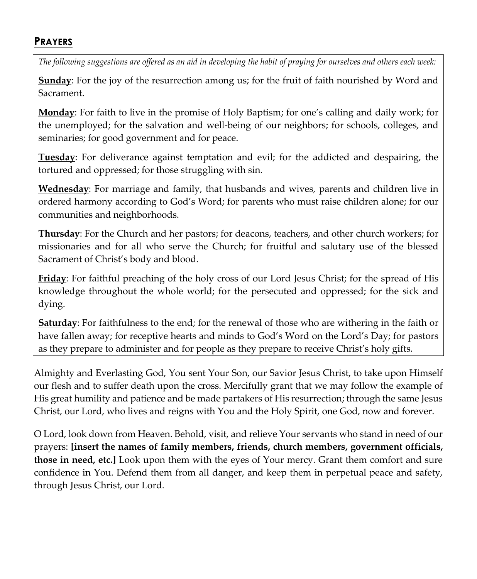#### **PRAYERS**

*The following suggestions are offered as an aid in developing the habit of praying for ourselves and others each week:*

**Sunday**: For the joy of the resurrection among us; for the fruit of faith nourished by Word and Sacrament.

**Monday**: For faith to live in the promise of Holy Baptism; for one's calling and daily work; for the unemployed; for the salvation and well-being of our neighbors; for schools, colleges, and seminaries; for good government and for peace.

**Tuesday**: For deliverance against temptation and evil; for the addicted and despairing, the tortured and oppressed; for those struggling with sin.

**Wednesday**: For marriage and family, that husbands and wives, parents and children live in ordered harmony according to God's Word; for parents who must raise children alone; for our communities and neighborhoods.

**Thursday**: For the Church and her pastors; for deacons, teachers, and other church workers; for missionaries and for all who serve the Church; for fruitful and salutary use of the blessed Sacrament of Christ's body and blood.

**Friday**: For faithful preaching of the holy cross of our Lord Jesus Christ; for the spread of His knowledge throughout the whole world; for the persecuted and oppressed; for the sick and dying.

**Saturday**: For faithfulness to the end; for the renewal of those who are withering in the faith or have fallen away; for receptive hearts and minds to God's Word on the Lord's Day; for pastors as they prepare to administer and for people as they prepare to receive Christ's holy gifts.

Almighty and Everlasting God, You sent Your Son, our Savior Jesus Christ, to take upon Himself our flesh and to suffer death upon the cross. Mercifully grant that we may follow the example of His great humility and patience and be made partakers of His resurrection; through the same Jesus Christ, our Lord, who lives and reigns with You and the Holy Spirit, one God, now and forever.

O Lord, look down from Heaven. Behold, visit, and relieve Your servants who stand in need of our prayers: **[insert the names of family members, friends, church members, government officials, those in need, etc.]** Look upon them with the eyes of Your mercy. Grant them comfort and sure confidence in You. Defend them from all danger, and keep them in perpetual peace and safety, through Jesus Christ, our Lord.